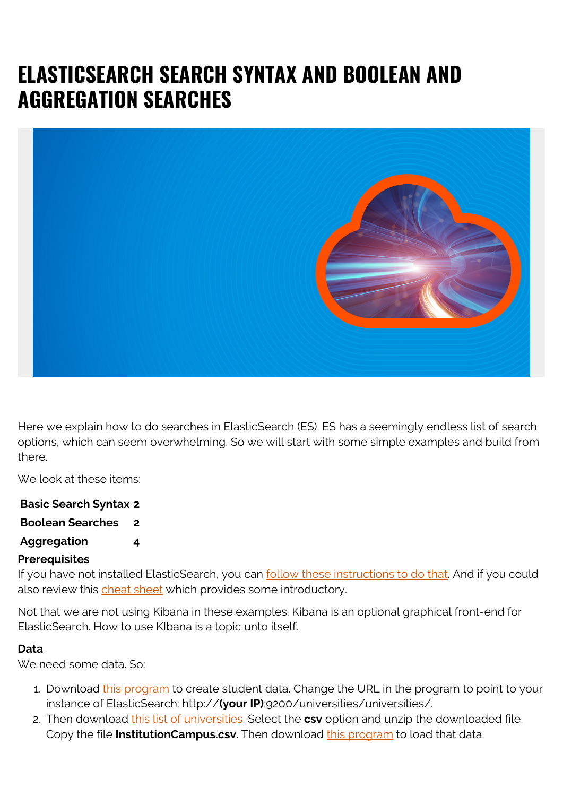# **ELASTICSEARCH SEARCH SYNTAX AND BOOLEAN AND AGGREGATION SEARCHES**



Here we explain how to do searches in ElasticSearch (ES). ES has a seemingly endless list of search options, which can seem overwhelming. So we will start with some simple examples and build from there.

We look at these items:

| <b>Basic Search Syntax 2</b> |                         |
|------------------------------|-------------------------|
| <b>Boolean Searches</b>      | $\overline{\mathbf{2}}$ |
| <b>Aggregation</b>           | 4                       |

#### **Prerequisites**

If you have not installed ElasticSearch, you can [follow these instructions to do that.](https://blogs.bmc.com/blogs/how-to-setup-elasticsearch-cluster-amazon-ec2/) And if you could also review this [cheat sheet](https://blogs.bmc.com/blogs/elasticsearch-commands/) which provides some introductory.

Not that we are not using Kibana in these examples. Kibana is an optional graphical front-end for ElasticSearch. How to use KIbana is a topic unto itself.

#### **Data**

We need some data. So:

- 1. Download [this program](https://raw.githubusercontent.com/werowe/elasticsearch/master/massAdd.py) to create student data. Change the URL in the program to point to your instance of ElasticSearch: http://**(your IP)**:9200/universities/universities/.
- 2. Then download [this list of universities.](https://ope.ed.gov/dapip/#/download-data-files) Select the **csv** option and unzip the downloaded file. Copy the file **InstitutionCampus.csv**. Then download [this program](https://raw.githubusercontent.com/werowe/elasticsearch/master/uCampus.py) to load that data.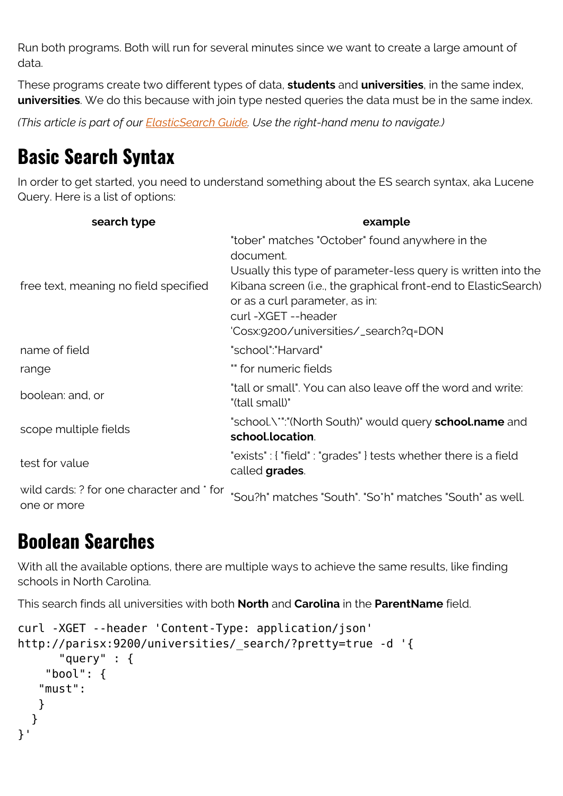Run both programs. Both will run for several minutes since we want to create a large amount of data.

These programs create two different types of data, **students** and **universities**, in the same index, **universities**. We do this because with join type nested queries the data must be in the same index.

*(This article is part of our [ElasticSearch Guide.](https://blogs.bmc.com/blogs/elasticsearch-introduction/) Use the right-hand menu to navigate.)*

## **Basic Search Syntax**

In order to get started, you need to understand something about the ES search syntax, aka Lucene Query. Here is a list of options:

| search type                                              | example                                                                                                                                                                                                                                                                                         |
|----------------------------------------------------------|-------------------------------------------------------------------------------------------------------------------------------------------------------------------------------------------------------------------------------------------------------------------------------------------------|
| free text, meaning no field specified                    | "tober" matches "October" found anywhere in the<br>document.<br>Usually this type of parameter-less query is written into the<br>Kibana screen (i.e., the graphical front-end to ElasticSearch)<br>or as a curl parameter, as in:<br>curl-XGET--header<br>'Cosx:9200/universities/_search?q=DON |
| name of field                                            | "school":"Harvard"                                                                                                                                                                                                                                                                              |
| range                                                    | " for numeric fields                                                                                                                                                                                                                                                                            |
| boolean: and, or                                         | "tall or small". You can also leave off the word and write:<br>"(tall small)"                                                                                                                                                                                                                   |
| scope multiple fields                                    | "school.\*":"(North South)" would query school.name and<br>school.location.                                                                                                                                                                                                                     |
| test for value                                           | "exists": { "field": "grades" } tests whether there is a field<br>called grades.                                                                                                                                                                                                                |
| wild cards: ? for one character and * for<br>one or more | "Sou?h" matches "South". "So*h" matches "South" as well.                                                                                                                                                                                                                                        |

## **Boolean Searches**

With all the available options, there are multiple ways to achieve the same results, like finding schools in North Carolina.

This search finds all universities with both **North** and **Carolina** in the **ParentName** field.

```
curl -XGET --header 'Content-Type: application/json'
http://parisx:9200/universities/_search/?pretty=true -d '{
       "query" : {
     "bool": {
    "must":
    }
   }
}'
```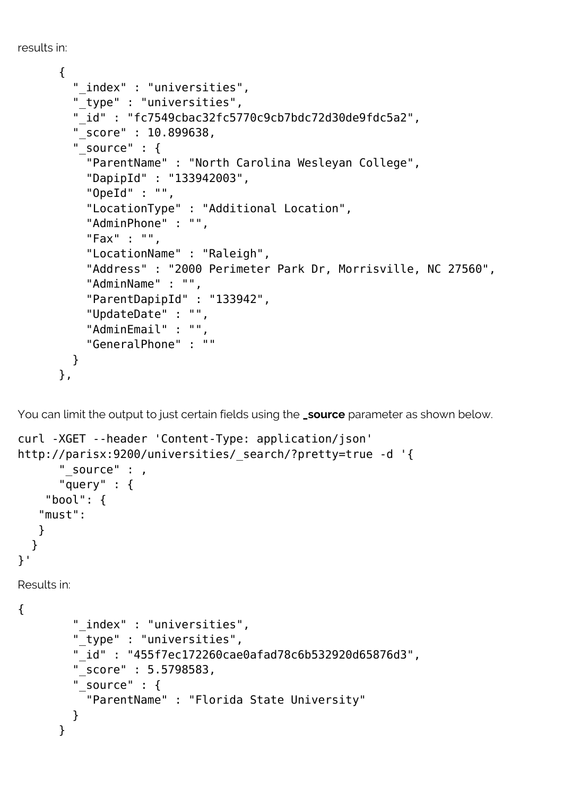```
results in:
```

```
 {
   "_index" : "universities",
   "_type" : "universities",
   "_id" : "fc7549cbac32fc5770c9cb7bdc72d30de9fdc5a2",
   "_score" : 10.899638,
   "_source" : {
     "ParentName" : "North Carolina Wesleyan College",
     "DapipId" : "133942003",
     "OpeId" : "",
     "LocationType" : "Additional Location",
     "AdminPhone" : "",
     "Fax" : "",
     "LocationName" : "Raleigh",
     "Address" : "2000 Perimeter Park Dr, Morrisville, NC 27560",
     "AdminName" : "",
     "ParentDapipId" : "133942",
     "UpdateDate" : "",
     "AdminEmail" : "",
     "GeneralPhone" : ""
   }
 },
```
You can limit the output to just certain fields using the **\_source** parameter as shown below.

```
curl -XGET --header 'Content-Type: application/json'
http://parisx:9200/universities/ search/?pretty=true -d '{
      " source" : ,
       "query" : {
     "bool": {
    "must":
   }
 }
}'
Results in:
{
         "_index" : "universities",
         "_type" : "universities",
         "_id" : "455f7ec172260cae0afad78c6b532920d65876d3",
         "_score" : 5.5798583,
        " source" : \{ "ParentName" : "Florida State University"
         }
       }
```